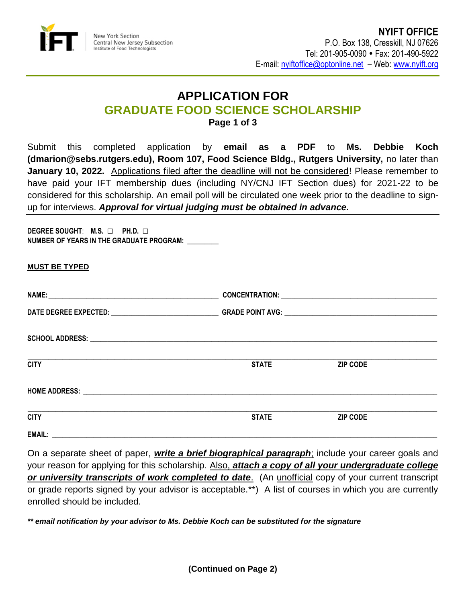

## **APPLICATION FOR GRADUATE FOOD SCIENCE SCHOLARSHIP Page 1 of 3**

Submit this completed application by **email as a PDF** to **Ms. Debbie Koch (dmarion@sebs.rutgers.edu), Room 107, Food Science Bldg., Rutgers University,** no later than **January 10, 2022.** Applications filed after the deadline will not be considered! Please remember to have paid your IFT membership dues (including NY/CNJ IFT Section dues) for 2021-22 to be considered for this scholarship. An email poll will be circulated one week prior to the deadline to signup for interviews. *Approval for virtual judging must be obtained in advance.*

**DEGREE SOUGHT**: **M.S.** □ **PH.D.** □ **NUMBER OF YEARS IN THE GRADUATE PROGRAM:** \_\_\_\_\_\_\_\_\_

| <b>MUST BE TYPED</b>                                                                                                                |              |                 |  |
|-------------------------------------------------------------------------------------------------------------------------------------|--------------|-----------------|--|
|                                                                                                                                     |              |                 |  |
|                                                                                                                                     |              |                 |  |
|                                                                                                                                     |              |                 |  |
| <b>CITY</b>                                                                                                                         | <b>STATE</b> | <b>ZIP CODE</b> |  |
|                                                                                                                                     |              |                 |  |
| <u> 1980 - Jan Barbarat, margaretan basar dan berasal dan berasal dalam berasal dalam berasal dalam berasal dala</u><br><b>CITY</b> | <b>STATE</b> | <b>ZIP CODE</b> |  |
|                                                                                                                                     |              |                 |  |

On a separate sheet of paper, *write a brief biographical paragraph*; include your career goals and your reason for applying for this scholarship. Also, *attach a copy of all your undergraduate college or university transcripts of work completed to date*. (An unofficial copy of your current transcript or grade reports signed by your advisor is acceptable.\*\*) A list of courses in which you are currently enrolled should be included.

*\*\* email notification by your advisor to Ms. Debbie Koch can be substituted for the signature*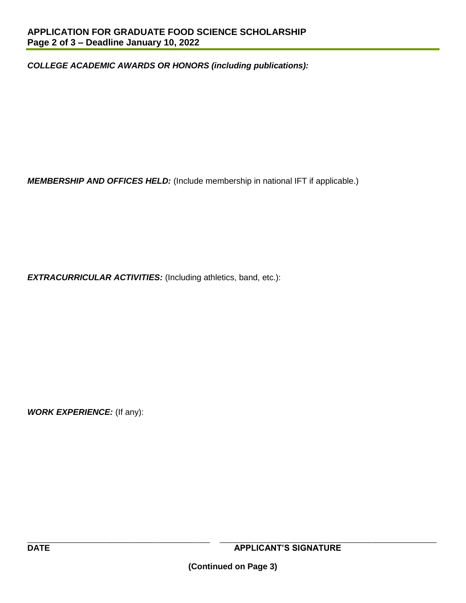*COLLEGE ACADEMIC AWARDS OR HONORS (including publications):*

*MEMBERSHIP AND OFFICES HELD:* (Include membership in national IFT if applicable.)

*EXTRACURRICULAR ACTIVITIES:* (Including athletics, band, etc.):

*WORK EXPERIENCE:* (If any):